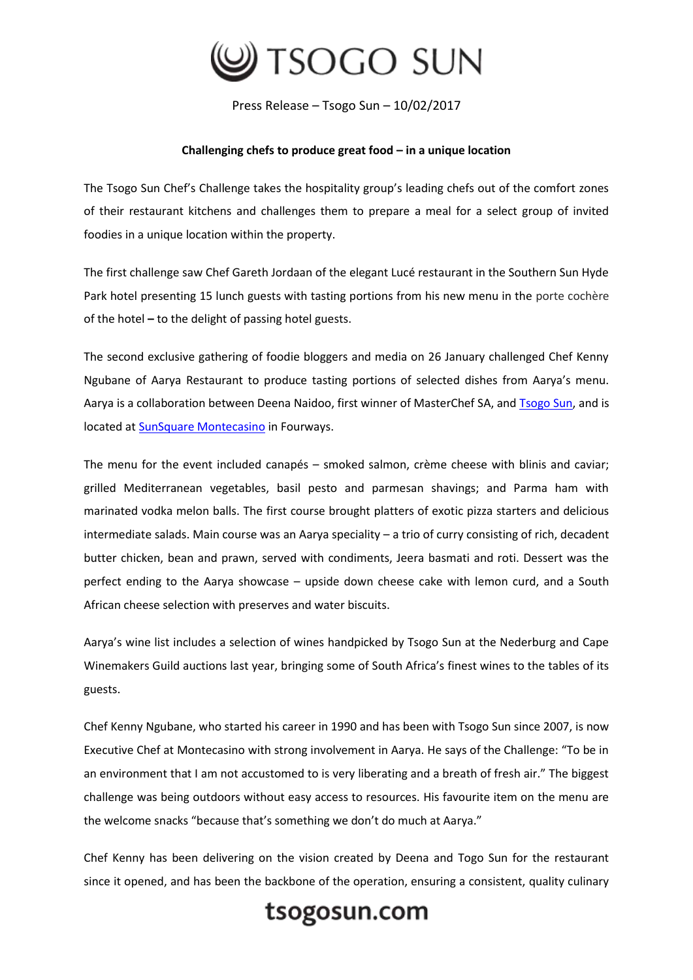

Press Release – Tsogo Sun – 10/02/2017

## **Challenging chefs to produce great food – in a unique location**

The Tsogo Sun Chef's Challenge takes the hospitality group's leading chefs out of the comfort zones of their restaurant kitchens and challenges them to prepare a meal for a select group of invited foodies in a unique location within the property.

The first challenge saw Chef Gareth Jordaan of the elegant Lucé restaurant in the Southern Sun Hyde Park hotel presenting 15 lunch guests with tasting portions from his new menu in the porte cochère of the hotel **–** to the delight of passing hotel guests.

The second exclusive gathering of foodie bloggers and media on 26 January challenged Chef Kenny Ngubane of Aarya Restaurant to produce tasting portions of selected dishes from Aarya's menu. Aarya is a collaboration between Deena Naidoo, first winner of MasterChef SA, and [Tsogo Sun,](https://www.tsogosun.com/) and is located at [SunSquare Montecasino](https://www.tsogosun.com/sunsquare-montecasino) in Fourways.

The menu for the event included canapés – smoked salmon, crème cheese with blinis and caviar; grilled Mediterranean vegetables, basil pesto and parmesan shavings; and Parma ham with marinated vodka melon balls. The first course brought platters of exotic pizza starters and delicious intermediate salads. Main course was an Aarya speciality – a trio of curry consisting of rich, decadent butter chicken, bean and prawn, served with condiments, Jeera basmati and roti. Dessert was the perfect ending to the Aarya showcase – upside down cheese cake with lemon curd, and a South African cheese selection with preserves and water biscuits.

Aarya's wine list includes a selection of wines handpicked by Tsogo Sun at the Nederburg and Cape Winemakers Guild auctions last year, bringing some of South Africa's finest wines to the tables of its guests.

Chef Kenny Ngubane, who started his career in 1990 and has been with Tsogo Sun since 2007, is now Executive Chef at Montecasino with strong involvement in Aarya. He says of the Challenge: "To be in an environment that I am not accustomed to is very liberating and a breath of fresh air." The biggest challenge was being outdoors without easy access to resources. His favourite item on the menu are the welcome snacks "because that's something we don't do much at Aarya."

Chef Kenny has been delivering on the vision created by Deena and Togo Sun for the restaurant since it opened, and has been the backbone of the operation, ensuring a consistent, quality culinary

## tsogosun.com